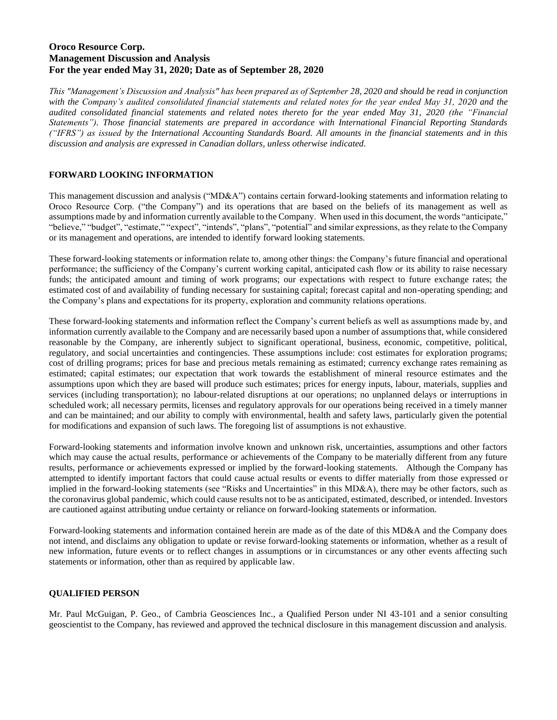# **Oroco Resource Corp. Management Discussion and Analysis For the year ended May 31, 2020; Date as of September 28, 2020**

*This "Management's Discussion and Analysis" has been prepared as of September 28, 2020 and should be read in conjunction with the Company's audited consolidated financial statements and related notes for the year ended May 31, 2020 and the audited consolidated financial statements and related notes thereto for the year ended May 31, 2020 (the "Financial Statements"). Those financial statements are prepared in accordance with International Financial Reporting Standards ("IFRS") as issued by the International Accounting Standards Board. All amounts in the financial statements and in this discussion and analysis are expressed in Canadian dollars, unless otherwise indicated.*

# **FORWARD LOOKING INFORMATION**

This management discussion and analysis ("MD&A") contains certain forward-looking statements and information relating to Oroco Resource Corp. ("the Company") and its operations that are based on the beliefs of its management as well as assumptions made by and information currently available to the Company. When used in this document, the words "anticipate," "believe," "budget", "estimate," "expect", "intends", "plans", "potential" and similar expressions, as they relate to the Company or its management and operations, are intended to identify forward looking statements.

These forward-looking statements or information relate to, among other things: the Company's future financial and operational performance; the sufficiency of the Company's current working capital, anticipated cash flow or its ability to raise necessary funds; the anticipated amount and timing of work programs; our expectations with respect to future exchange rates; the estimated cost of and availability of funding necessary for sustaining capital; forecast capital and non-operating spending; and the Company's plans and expectations for its property, exploration and community relations operations.

These forward-looking statements and information reflect the Company's current beliefs as well as assumptions made by, and information currently available to the Company and are necessarily based upon a number of assumptions that, while considered reasonable by the Company, are inherently subject to significant operational, business, economic, competitive, political, regulatory, and social uncertainties and contingencies. These assumptions include: cost estimates for exploration programs; cost of drilling programs; prices for base and precious metals remaining as estimated; currency exchange rates remaining as estimated; capital estimates; our expectation that work towards the establishment of mineral resource estimates and the assumptions upon which they are based will produce such estimates; prices for energy inputs, labour, materials, supplies and services (including transportation); no labour-related disruptions at our operations; no unplanned delays or interruptions in scheduled work; all necessary permits, licenses and regulatory approvals for our operations being received in a timely manner and can be maintained; and our ability to comply with environmental, health and safety laws, particularly given the potential for modifications and expansion of such laws. The foregoing list of assumptions is not exhaustive.

Forward-looking statements and information involve known and unknown risk, uncertainties, assumptions and other factors which may cause the actual results, performance or achievements of the Company to be materially different from any future results, performance or achievements expressed or implied by the forward-looking statements. Although the Company has attempted to identify important factors that could cause actual results or events to differ materially from those expressed or implied in the forward-looking statements (see "Risks and Uncertainties" in this MD&A), there may be other factors, such as the coronavirus global pandemic, which could cause results not to be as anticipated, estimated, described, or intended. Investors are cautioned against attributing undue certainty or reliance on forward-looking statements or information.

Forward-looking statements and information contained herein are made as of the date of this MD&A and the Company does not intend, and disclaims any obligation to update or revise forward-looking statements or information, whether as a result of new information, future events or to reflect changes in assumptions or in circumstances or any other events affecting such statements or information, other than as required by applicable law.

# **QUALIFIED PERSON**

Mr. Paul McGuigan, P. Geo., of Cambria Geosciences Inc., a Qualified Person under NI 43-101 and a senior consulting geoscientist to the Company, has reviewed and approved the technical disclosure in this management discussion and analysis.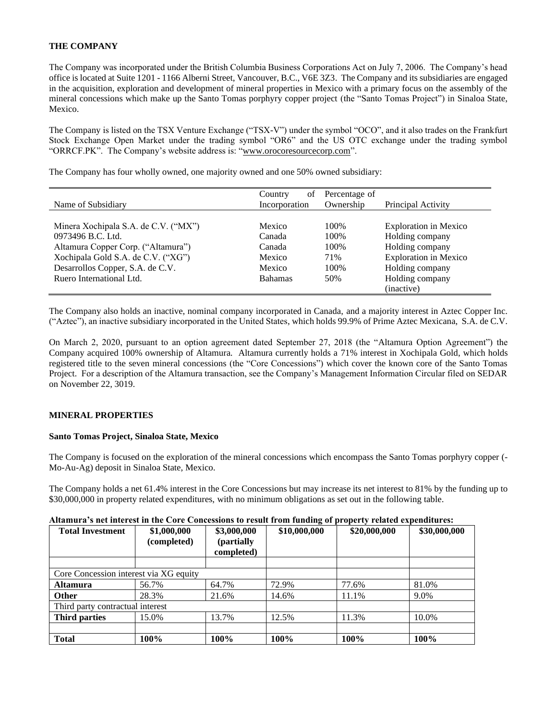### **THE COMPANY**

The Company was incorporated under the British Columbia Business Corporations Act on July 7, 2006. The Company's head office is located at Suite 1201 - 1166 Alberni Street, Vancouver, B.C., V6E 3Z3. The Company and its subsidiaries are engaged in the acquisition, exploration and development of mineral properties in Mexico with a primary focus on the assembly of the mineral concessions which make up the Santo Tomas porphyry copper project (the "Santo Tomas Project") in Sinaloa State, Mexico.

The Company is listed on the TSX Venture Exchange ("TSX-V") under the symbol "OCO", and it also trades on the Frankfurt Stock Exchange Open Market under the trading symbol "OR6" and the US OTC exchange under the trading symbol "ORRCF.PK". The Company's website address is: "www.orocoresourcecorp.com".

The Company has four wholly owned, one majority owned and one 50% owned subsidiary:

| Name of Subsidiary                   | of<br>Country<br>Incorporation | Percentage of<br>Ownership | Principal Activity           |
|--------------------------------------|--------------------------------|----------------------------|------------------------------|
|                                      |                                |                            |                              |
| Minera Xochipala S.A. de C.V. ("MX") | Mexico                         | 100%                       | <b>Exploration in Mexico</b> |
| 0973496 B.C. Ltd.                    | Canada                         | 100%                       | Holding company              |
| Altamura Copper Corp. ("Altamura")   | Canada                         | 100%                       | Holding company              |
| Xochipala Gold S.A. de C.V. ("XG")   | Mexico                         | 71%                        | <b>Exploration in Mexico</b> |
| Desarrollos Copper, S.A. de C.V.     | Mexico                         | 100%                       | Holding company              |
| Ruero International Ltd.             | <b>Bahamas</b>                 | 50%                        | Holding company              |
|                                      |                                |                            | (inactive)                   |

The Company also holds an inactive, nominal company incorporated in Canada, and a majority interest in Aztec Copper Inc. ("Aztec"), an inactive subsidiary incorporated in the United States, which holds 99.9% of Prime Aztec Mexicana, S.A. de C.V.

On March 2, 2020, pursuant to an option agreement dated September 27, 2018 (the "Altamura Option Agreement") the Company acquired 100% ownership of Altamura. Altamura currently holds a 71% interest in Xochipala Gold, which holds registered title to the seven mineral concessions (the "Core Concessions") which cover the known core of the Santo Tomas Project. For a description of the Altamura transaction, see the Company's Management Information Circular filed on SEDAR on November 22, 3019.

# **MINERAL PROPERTIES**

#### **Santo Tomas Project, Sinaloa State, Mexico**

The Company is focused on the exploration of the mineral concessions which encompass the Santo Tomas porphyry copper (- Mo-Au-Ag) deposit in Sinaloa State, Mexico.

The Company holds a net 61.4% interest in the Core Concessions but may increase its net interest to 81% by the funding up to \$30,000,000 in property related expenditures, with no minimum obligations as set out in the following table.

| Altamura's net interest in the Core Concessions to result from funding of property related expenditures: |  |  |
|----------------------------------------------------------------------------------------------------------|--|--|
|                                                                                                          |  |  |

| <b>Total Investment</b>                | \$1,000,000<br>(completed) | \$3,000,000<br>(partially<br>completed) | $\circ$<br>\$10,000,000 | \$20,000,000 | \$30,000,000 |
|----------------------------------------|----------------------------|-----------------------------------------|-------------------------|--------------|--------------|
|                                        |                            |                                         |                         |              |              |
| Core Concession interest via XG equity |                            |                                         |                         |              |              |
| <b>Altamura</b>                        | 56.7%                      | 64.7%                                   | 72.9%                   | 77.6%        | 81.0%        |
| <b>Other</b>                           | 28.3%                      | 21.6%                                   | 14.6%                   | 11.1%        | 9.0%         |
| Third party contractual interest       |                            |                                         |                         |              |              |
| Third parties                          | 15.0%                      | 13.7%                                   | 12.5%                   | 11.3%        | 10.0%        |
|                                        |                            |                                         |                         |              |              |
| <b>Total</b>                           | 100%                       | 100%                                    | 100%                    | 100%         | 100%         |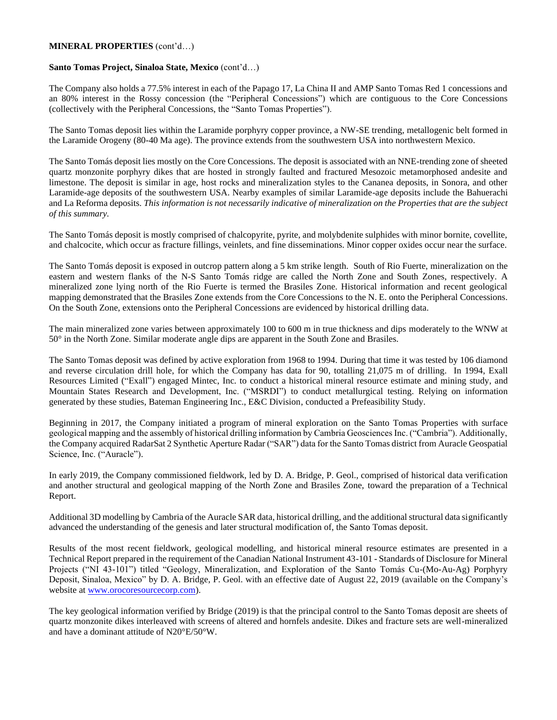#### **MINERAL PROPERTIES** (cont'd…)

### **Santo Tomas Project, Sinaloa State, Mexico** (cont'd…)

The Company also holds a 77.5% interest in each of the Papago 17, La China II and AMP Santo Tomas Red 1 concessions and an 80% interest in the Rossy concession (the "Peripheral Concessions") which are contiguous to the Core Concessions (collectively with the Peripheral Concessions, the "Santo Tomas Properties").

The Santo Tomas deposit lies within the Laramide porphyry copper province, a NW-SE trending, metallogenic belt formed in the Laramide Orogeny (80-40 Ma age). The province extends from the southwestern USA into northwestern Mexico.

The Santo Tomás deposit lies mostly on the Core Concessions. The deposit is associated with an NNE-trending zone of sheeted quartz monzonite porphyry dikes that are hosted in strongly faulted and fractured Mesozoic metamorphosed andesite and limestone. The deposit is similar in age, host rocks and mineralization styles to the Cananea deposits, in Sonora, and other Laramide-age deposits of the southwestern USA. Nearby examples of similar Laramide-age deposits include the Bahuerachi and La Reforma deposits. *This information is not necessarily indicative of mineralization on the Properties that are the subject of this summary.*

The Santo Tomás deposit is mostly comprised of chalcopyrite, pyrite, and molybdenite sulphides with minor bornite, covellite, and chalcocite, which occur as fracture fillings, veinlets, and fine disseminations. Minor copper oxides occur near the surface.

The Santo Tomás deposit is exposed in outcrop pattern along a 5 km strike length. South of Rio Fuerte, mineralization on the eastern and western flanks of the N-S Santo Tomás ridge are called the North Zone and South Zones, respectively. A mineralized zone lying north of the Rio Fuerte is termed the Brasiles Zone. Historical information and recent geological mapping demonstrated that the Brasiles Zone extends from the Core Concessions to the N. E. onto the Peripheral Concessions. On the South Zone, extensions onto the Peripheral Concessions are evidenced by historical drilling data.

The main mineralized zone varies between approximately 100 to 600 m in true thickness and dips moderately to the WNW at 50° in the North Zone. Similar moderate angle dips are apparent in the South Zone and Brasiles.

The Santo Tomas deposit was defined by active exploration from 1968 to 1994. During that time it was tested by 106 diamond and reverse circulation drill hole, for which the Company has data for 90, totalling 21,075 m of drilling. In 1994, Exall Resources Limited ("Exall") engaged Mintec, Inc. to conduct a historical mineral resource estimate and mining study, and Mountain States Research and Development, Inc. ("MSRDI") to conduct metallurgical testing. Relying on information generated by these studies, Bateman Engineering Inc., E&C Division, conducted a Prefeasibility Study.

Beginning in 2017, the Company initiated a program of mineral exploration on the Santo Tomas Properties with surface geological mapping and the assembly of historical drilling information by Cambria Geosciences Inc. ("Cambria"). Additionally, the Company acquired RadarSat 2 Synthetic Aperture Radar ("SAR") data for the Santo Tomas district from Auracle Geospatial Science, Inc. ("Auracle").

In early 2019, the Company commissioned fieldwork, led by D. A. Bridge, P. Geol., comprised of historical data verification and another structural and geological mapping of the North Zone and Brasiles Zone, toward the preparation of a Technical Report.

Additional 3D modelling by Cambria of the Auracle SAR data, historical drilling, and the additional structural data significantly advanced the understanding of the genesis and later structural modification of, the Santo Tomas deposit.

Results of the most recent fieldwork, geological modelling, and historical mineral resource estimates are presented in a Technical Report prepared in the requirement of the Canadian National Instrument 43-101 - Standards of Disclosure for Mineral Projects ("NI 43-101") titled "Geology, Mineralization, and Exploration of the Santo Tomás Cu-(Mo-Au-Ag) Porphyry Deposit, Sinaloa, Mexico" by D. A. Bridge, P. Geol. with an effective date of August 22, 2019 (available on the Company's website at <u>www.orocoresourcecorp.com</u>).

The key geological information verified by Bridge (2019) is that the principal control to the Santo Tomas deposit are sheets of quartz monzonite dikes interleaved with screens of altered and hornfels andesite. Dikes and fracture sets are well-mineralized and have a dominant attitude of N20°E/50°W.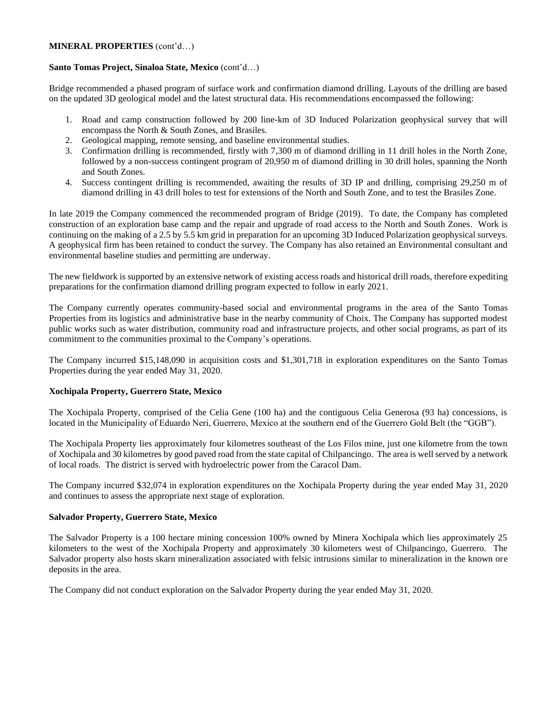### **MINERAL PROPERTIES** (cont'd…)

## **Santo Tomas Project, Sinaloa State, Mexico** (cont'd…)

Bridge recommended a phased program of surface work and confirmation diamond drilling. Layouts of the drilling are based on the updated 3D geological model and the latest structural data. His recommendations encompassed the following:

- 1. Road and camp construction followed by 200 line-km of 3D Induced Polarization geophysical survey that will encompass the North & South Zones, and Brasiles.
- 2. Geological mapping, remote sensing, and baseline environmental studies.
- 3. Confirmation drilling is recommended, firstly with 7,300 m of diamond drilling in 11 drill holes in the North Zone, followed by a non-success contingent program of 20,950 m of diamond drilling in 30 drill holes, spanning the North and South Zones.
- 4. Success contingent drilling is recommended, awaiting the results of 3D IP and drilling, comprising 29,250 m of diamond drilling in 43 drill holes to test for extensions of the North and South Zone, and to test the Brasiles Zone.

In late 2019 the Company commenced the recommended program of Bridge (2019). To date, the Company has completed construction of an exploration base camp and the repair and upgrade of road access to the North and South Zones. Work is continuing on the making of a 2.5 by 5.5 km grid in preparation for an upcoming 3D Induced Polarization geophysical surveys. A geophysical firm has been retained to conduct the survey. The Company has also retained an Environmental consultant and environmental baseline studies and permitting are underway.

The new fieldwork is supported by an extensive network of existing access roads and historical drill roads, therefore expediting preparations for the confirmation diamond drilling program expected to follow in early 2021.

The Company currently operates community-based social and environmental programs in the area of the Santo Tomas Properties from its logistics and administrative base in the nearby community of Choix. The Company has supported modest public works such as water distribution, community road and infrastructure projects, and other social programs, as part of its commitment to the communities proximal to the Company's operations.

The Company incurred \$15,148,090 in acquisition costs and \$1,301,718 in exploration expenditures on the Santo Tomas Properties during the year ended May 31, 2020.

# **Xochipala Property, Guerrero State, Mexico**

The Xochipala Property, comprised of the Celia Gene (100 ha) and the contiguous Celia Generosa (93 ha) concessions, is located in the Municipality of Eduardo Neri, Guerrero, Mexico at the southern end of the Guerrero Gold Belt (the "GGB").

The Xochipala Property lies approximately four kilometres southeast of the Los Filos mine, just one kilometre from the town of Xochipala and 30 kilometres by good paved road from the state capital of Chilpancingo. The area is well served by a network of local roads. The district is served with hydroelectric power from the Caracol Dam.

The Company incurred \$32,074 in exploration expenditures on the Xochipala Property during the year ended May 31, 2020 and continues to assess the appropriate next stage of exploration.

### **Salvador Property, Guerrero State, Mexico**

The Salvador Property is a 100 hectare mining concession 100% owned by Minera Xochipala which lies approximately 25 kilometers to the west of the Xochipala Property and approximately 30 kilometers west of Chilpancingo, Guerrero. The Salvador property also hosts skarn mineralization associated with felsic intrusions similar to mineralization in the known ore deposits in the area.

The Company did not conduct exploration on the Salvador Property during the year ended May 31, 2020.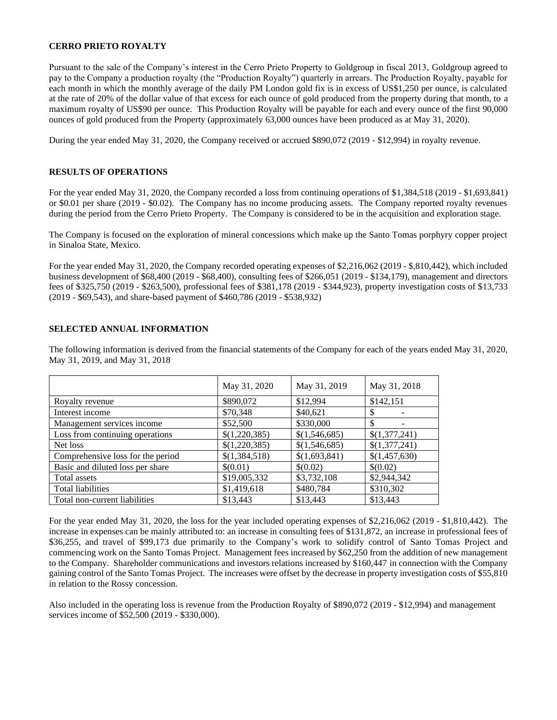### **CERRO PRIETO ROYALTY**

Pursuant to the sale of the Company's interest in the Cerro Prieto Property to Goldgroup in fiscal 2013, Goldgroup agreed to pay to the Company a production royalty (the "Production Royalty") quarterly in arrears. The Production Royalty, payable for each month in which the monthly average of the daily PM London gold fix is in excess of US\$1,250 per ounce, is calculated at the rate of 20% of the dollar value of that excess for each ounce of gold produced from the property during that month, to a maximum royalty of US\$90 per ounce. This Production Royalty will be payable for each and every ounce of the first 90,000 ounces of gold produced from the Property (approximately 63,000 ounces have been produced as at May 31, 2020).

During the year ended May 31, 2020, the Company received or accrued \$890,072 (2019 - \$12,994) in royalty revenue.

### **RESULTS OF OPERATIONS**

For the year ended May 31, 2020, the Company recorded a loss from continuing operations of \$1,384,518 (2019 - \$1,693,841) or \$0.01 per share (2019 - \$0.02). The Company has no income producing assets. The Company reported royalty revenues during the period from the Cerro Prieto Property. The Company is considered to be in the acquisition and exploration stage.

The Company is focused on the exploration of mineral concessions which make up the Santo Tomas porphyry copper project in Sinaloa State, Mexico.

For the year ended May 31, 2020, the Company recorded operating expenses of \$2,216,062 (2019 - \$,810,442), which included business development of \$68,400 (2019 - \$68,400), consulting fees of \$266,051 (2019 - \$134,179), management and directors fees of \$325,750 (2019 - \$263,500), professional fees of \$381,178 (2019 - \$344,923), property investigation costs of \$13,733 (2019 - \$69,543), and share-based payment of \$460,786 (2019 - \$538,932)

#### **SELECTED ANNUAL INFORMATION**

The following information is derived from the financial statements of the Company for each of the years ended May 31, 2020, May 31, 2019, and May 31, 2018

|                                   | May 31, 2020  | May 31, 2019  | May 31, 2018  |
|-----------------------------------|---------------|---------------|---------------|
| Royalty revenue                   | \$890,072     | \$12,994      | \$142,151     |
| Interest income                   | \$70,348      | \$40,621      | S             |
| Management services income        | \$52,500      | \$330,000     | \$            |
| Loss from continuing operations   | \$(1,220,385) | \$(1,546,685) | \$(1,377,241) |
| Net loss                          | \$(1,220,385) | \$(1,546,685) | \$(1,377,241) |
| Comprehensive loss for the period | \$(1,384,518) | \$(1,693,841) | \$(1,457,630) |
| Basic and diluted loss per share  | \$(0.01)      | \$(0.02)      | \$(0.02)      |
| Total assets                      | \$19,005,332  | \$3,732,108   | \$2,944,342   |
| <b>Total liabilities</b>          | \$1,419,618   | \$480,784     | \$310,302     |
| Total non-current liabilities     | \$13,443      | \$13,443      | \$13,443      |

For the year ended May 31, 2020, the loss for the year included operating expenses of \$2,216,062 (2019 - \$1,810,442). The increase in expenses can be mainly attributed to: an increase in consulting fees of \$131,872, an increase in professional fees of \$36,255, and travel of \$99,173 due primarily to the Company's work to solidify control of Santo Tomas Project and commencing work on the Santo Tomas Project. Management fees increased by \$62,250 from the addition of new management to the Company. Shareholder communications and investors relations increased by \$160,447 in connection with the Company gaining control of the Santo Tomas Project. The increases were offset by the decrease in property investigation costs of \$55,810 in relation to the Rossy concession.

Also included in the operating loss is revenue from the Production Royalty of \$890,072 (2019 - \$12,994) and management services income of \$52,500 (2019 - \$330,000).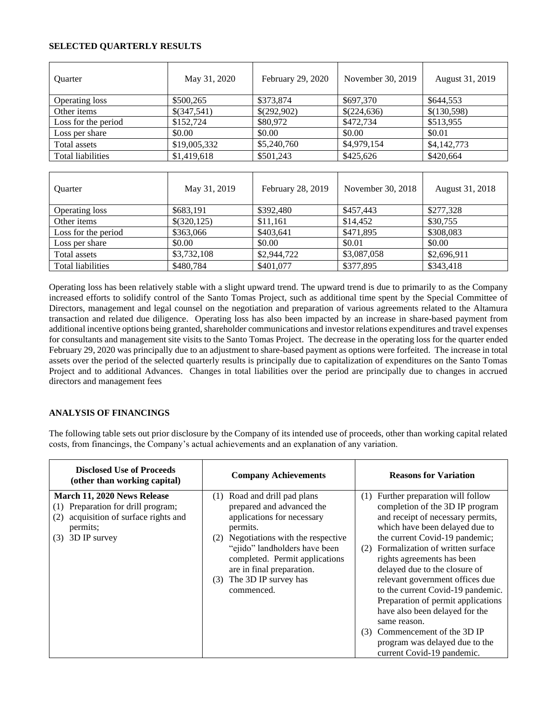## **SELECTED QUARTERLY RESULTS**

| <b>Ouarter</b>           | May 31, 2020 | February 29, 2020 | November 30, 2019 | August 31, 2019 |
|--------------------------|--------------|-------------------|-------------------|-----------------|
| <b>Operating loss</b>    | \$500,265    | \$373,874         | \$697,370         | \$644,553       |
| Other items              | \$(347,541)  | \$(292,902)       | \$(224,636)       | \$(130,598)     |
| Loss for the period      | \$152,724    | \$80,972          | \$472,734         | \$513,955       |
| Loss per share           | \$0.00       | \$0.00            | \$0.00            | \$0.01          |
| Total assets             | \$19,005,332 | \$5,240,760       | \$4,979,154       | \$4,142,773     |
| <b>Total liabilities</b> | \$1,419,618  | \$501,243         | \$425,626         | \$420,664       |

| <b>Ouarter</b>           | May 31, 2019 | February 28, 2019 | November 30, 2018 | August 31, 2018 |
|--------------------------|--------------|-------------------|-------------------|-----------------|
| Operating loss           | \$683,191    | \$392,480         | \$457.443         | \$277,328       |
| Other items              | \$(320,125)  | \$11,161          | \$14,452          | \$30,755        |
| Loss for the period      | \$363,066    | \$403,641         | \$471,895         | \$308,083       |
| Loss per share           | \$0.00       | \$0.00            | \$0.01            | \$0.00          |
| Total assets             | \$3,732,108  | \$2,944,722       | \$3,087,058       | \$2,696,911     |
| <b>Total liabilities</b> | \$480,784    | \$401,077         | \$377,895         | \$343,418       |

Operating loss has been relatively stable with a slight upward trend. The upward trend is due to primarily to as the Company increased efforts to solidify control of the Santo Tomas Project, such as additional time spent by the Special Committee of Directors, management and legal counsel on the negotiation and preparation of various agreements related to the Altamura transaction and related due diligence. Operating loss has also been impacted by an increase in share-based payment from additional incentive options being granted, shareholder communications and investor relations expenditures and travel expenses for consultants and management site visits to the Santo Tomas Project. The decrease in the operating loss for the quarter ended February 29, 2020 was principally due to an adjustment to share-based payment as options were forfeited. The increase in total assets over the period of the selected quarterly results is principally due to capitalization of expenditures on the Santo Tomas Project and to additional Advances. Changes in total liabilities over the period are principally due to changes in accrued directors and management fees

# **ANALYSIS OF FINANCINGS**

The following table sets out prior disclosure by the Company of its intended use of proceeds, other than working capital related costs, from financings, the Company's actual achievements and an explanation of any variation.

| <b>Disclosed Use of Proceeds</b><br>(other than working capital)                                                                                    | <b>Company Achievements</b>                                                                                                                                                                                                                                                              | <b>Reasons for Variation</b>                                                                                                                                                                                                                                                                                                                                                                                                                                                                                                                                     |
|-----------------------------------------------------------------------------------------------------------------------------------------------------|------------------------------------------------------------------------------------------------------------------------------------------------------------------------------------------------------------------------------------------------------------------------------------------|------------------------------------------------------------------------------------------------------------------------------------------------------------------------------------------------------------------------------------------------------------------------------------------------------------------------------------------------------------------------------------------------------------------------------------------------------------------------------------------------------------------------------------------------------------------|
| March 11, 2020 News Release<br>Preparation for drill program;<br>(1)<br>acquisition of surface rights and<br>(2)<br>permits;<br>3D IP survey<br>(3) | (1) Road and drill pad plans<br>prepared and advanced the<br>applications for necessary<br>permits.<br>(2) Negotiations with the respective<br>"ejido" landholders have been<br>completed. Permit applications<br>are in final preparation.<br>The 3D IP survey has<br>(3)<br>commenced. | Further preparation will follow<br>(1)<br>completion of the 3D IP program<br>and receipt of necessary permits,<br>which have been delayed due to<br>the current Covid-19 pandemic;<br>Formalization of written surface<br>(2)<br>rights agreements has been<br>delayed due to the closure of<br>relevant government offices due<br>to the current Covid-19 pandemic.<br>Preparation of permit applications<br>have also been delayed for the<br>same reason.<br>Commencement of the 3D IP<br>(3)<br>program was delayed due to the<br>current Covid-19 pandemic. |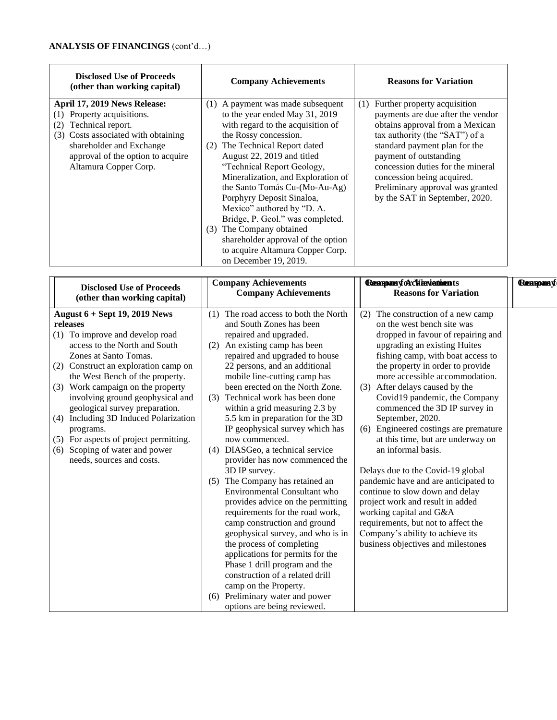| <b>Disclosed Use of Proceeds</b><br>(other than working capital)                                                                                                                                                       | <b>Company Achievements</b>                                                                                                                                                                                                                                                                                                                                                                                                                                                                                                             | <b>Reasons for Variation</b>                                                                                                                                                                                                                                                                                                                      |
|------------------------------------------------------------------------------------------------------------------------------------------------------------------------------------------------------------------------|-----------------------------------------------------------------------------------------------------------------------------------------------------------------------------------------------------------------------------------------------------------------------------------------------------------------------------------------------------------------------------------------------------------------------------------------------------------------------------------------------------------------------------------------|---------------------------------------------------------------------------------------------------------------------------------------------------------------------------------------------------------------------------------------------------------------------------------------------------------------------------------------------------|
| April 17, 2019 News Release:<br>Property acquisitions.<br>Technical report.<br>(2)<br>Costs associated with obtaining<br>(3)<br>shareholder and Exchange<br>approval of the option to acquire<br>Altamura Copper Corp. | (1) A payment was made subsequent<br>to the year ended May 31, 2019<br>with regard to the acquisition of<br>the Rossy concession.<br>The Technical Report dated<br>(2)<br>August 22, 2019 and titled<br>"Technical Report Geology,<br>Mineralization, and Exploration of<br>the Santo Tomás Cu-(Mo-Au-Ag)<br>Porphyry Deposit Sinaloa,<br>Mexico" authored by "D. A.<br>Bridge, P. Geol." was completed.<br>(3) The Company obtained<br>shareholder approval of the option<br>to acquire Altamura Copper Corp.<br>on December 19, 2019. | Further property acquisition<br>(1)<br>payments are due after the vendor<br>obtains approval from a Mexican<br>tax authority (the "SAT") of a<br>standard payment plan for the<br>payment of outstanding<br>concession duties for the mineral<br>concession being acquired.<br>Preliminary approval was granted<br>by the SAT in September, 2020. |

| <b>Disclosed Use of Proceeds</b>                                                                                                                                                                                                                                                                                                                                                                                                                                                                         | <b>Company Achievements</b>                                                                                                                                                                                                                                                                                                                                                                                                                                                                                                                                                                                                                                                                                                                                                                                                                                                                                                                                                        | <b>RempanyforcWinvietnents</b>                                                                                                                                                                                                                                                                                                                                                                                                                                                                                                                                                                                                                                                                                                                                                | <b>Remspars</b> of |
|----------------------------------------------------------------------------------------------------------------------------------------------------------------------------------------------------------------------------------------------------------------------------------------------------------------------------------------------------------------------------------------------------------------------------------------------------------------------------------------------------------|------------------------------------------------------------------------------------------------------------------------------------------------------------------------------------------------------------------------------------------------------------------------------------------------------------------------------------------------------------------------------------------------------------------------------------------------------------------------------------------------------------------------------------------------------------------------------------------------------------------------------------------------------------------------------------------------------------------------------------------------------------------------------------------------------------------------------------------------------------------------------------------------------------------------------------------------------------------------------------|-------------------------------------------------------------------------------------------------------------------------------------------------------------------------------------------------------------------------------------------------------------------------------------------------------------------------------------------------------------------------------------------------------------------------------------------------------------------------------------------------------------------------------------------------------------------------------------------------------------------------------------------------------------------------------------------------------------------------------------------------------------------------------|--------------------|
| (other than working capital)                                                                                                                                                                                                                                                                                                                                                                                                                                                                             | <b>Company Achievements</b>                                                                                                                                                                                                                                                                                                                                                                                                                                                                                                                                                                                                                                                                                                                                                                                                                                                                                                                                                        | <b>Reasons for Variation</b>                                                                                                                                                                                                                                                                                                                                                                                                                                                                                                                                                                                                                                                                                                                                                  |                    |
| <b>August 6 + Sept 19, 2019 News</b><br>releases<br>(1) To improve and develop road<br>access to the North and South<br>Zones at Santo Tomas.<br>(2) Construct an exploration camp on<br>the West Bench of the property.<br>(3) Work campaign on the property<br>involving ground geophysical and<br>geological survey preparation.<br>Including 3D Induced Polarization<br>(4)<br>programs.<br>(5) For aspects of project permitting.<br>Scoping of water and power<br>(6)<br>needs, sources and costs. | The road access to both the North<br>(1)<br>and South Zones has been<br>repaired and upgraded.<br>(2) An existing camp has been<br>repaired and upgraded to house<br>22 persons, and an additional<br>mobile line-cutting camp has<br>been erected on the North Zone.<br>(3) Technical work has been done<br>within a grid measuring 2.3 by<br>5.5 km in preparation for the 3D<br>IP geophysical survey which has<br>now commenced.<br>(4) DIASGeo, a technical service<br>provider has now commenced the<br>3D IP survey.<br>(5) The Company has retained an<br><b>Environmental Consultant who</b><br>provides advice on the permitting<br>requirements for the road work,<br>camp construction and ground<br>geophysical survey, and who is in<br>the process of completing<br>applications for permits for the<br>Phase 1 drill program and the<br>construction of a related drill<br>camp on the Property.<br>(6) Preliminary water and power<br>options are being reviewed. | (2) The construction of a new camp<br>on the west bench site was<br>dropped in favour of repairing and<br>upgrading an existing Huites<br>fishing camp, with boat access to<br>the property in order to provide<br>more accessible accommodation.<br>(3) After delays caused by the<br>Covid19 pandemic, the Company<br>commenced the 3D IP survey in<br>September, 2020.<br>(6) Engineered costings are premature<br>at this time, but are underway on<br>an informal basis.<br>Delays due to the Covid-19 global<br>pandemic have and are anticipated to<br>continue to slow down and delay<br>project work and result in added<br>working capital and G&A<br>requirements, but not to affect the<br>Company's ability to achieve its<br>business objectives and milestones |                    |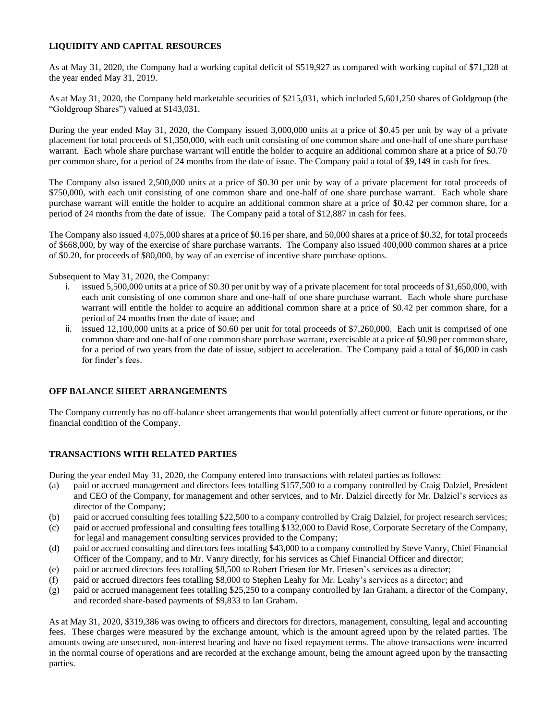# **LIQUIDITY AND CAPITAL RESOURCES**

As at May 31, 2020, the Company had a working capital deficit of \$519,927 as compared with working capital of \$71,328 at the year ended May 31, 2019.

As at May 31, 2020, the Company held marketable securities of \$215,031, which included 5,601,250 shares of Goldgroup (the "Goldgroup Shares") valued at \$143,031.

During the year ended May 31, 2020, the Company issued 3,000,000 units at a price of \$0.45 per unit by way of a private placement for total proceeds of \$1,350,000, with each unit consisting of one common share and one-half of one share purchase warrant. Each whole share purchase warrant will entitle the holder to acquire an additional common share at a price of \$0.70 per common share, for a period of 24 months from the date of issue. The Company paid a total of \$9,149 in cash for fees.

The Company also issued 2,500,000 units at a price of \$0.30 per unit by way of a private placement for total proceeds of \$750,000, with each unit consisting of one common share and one-half of one share purchase warrant. Each whole share purchase warrant will entitle the holder to acquire an additional common share at a price of \$0.42 per common share, for a period of 24 months from the date of issue. The Company paid a total of \$12,887 in cash for fees.

The Company also issued 4,075,000 shares at a price of \$0.16 per share, and 50,000 shares at a price of \$0.32, for total proceeds of \$668,000, by way of the exercise of share purchase warrants. The Company also issued 400,000 common shares at a price of \$0.20, for proceeds of \$80,000, by way of an exercise of incentive share purchase options.

Subsequent to May 31, 2020, the Company:

- i. issued 5,500,000 units at a price of \$0.30 per unit by way of a private placement for total proceeds of \$1,650,000, with each unit consisting of one common share and one-half of one share purchase warrant. Each whole share purchase warrant will entitle the holder to acquire an additional common share at a price of \$0.42 per common share, for a period of 24 months from the date of issue; and
- ii. issued 12,100,000 units at a price of \$0.60 per unit for total proceeds of \$7,260,000. Each unit is comprised of one common share and one-half of one common share purchase warrant, exercisable at a price of \$0.90 per common share, for a period of two years from the date of issue, subject to acceleration. The Company paid a total of \$6,000 in cash for finder's fees.

# **OFF BALANCE SHEET ARRANGEMENTS**

The Company currently has no off-balance sheet arrangements that would potentially affect current or future operations, or the financial condition of the Company.

# **TRANSACTIONS WITH RELATED PARTIES**

During the year ended May 31, 2020, the Company entered into transactions with related parties as follows:

- (a) paid or accrued management and directors fees totalling \$157,500 to a company controlled by Craig Dalziel, President and CEO of the Company, for management and other services, and to Mr. Dalziel directly for Mr. Dalziel's services as director of the Company;
- (b) paid or accrued consulting fees totalling \$22,500 to a company controlled by Craig Dalziel, for project research services;
- (c) paid or accrued professional and consulting fees totalling \$132,000 to David Rose, Corporate Secretary of the Company, for legal and management consulting services provided to the Company;
- (d) paid or accrued consulting and directors fees totalling \$43,000 to a company controlled by Steve Vanry, Chief Financial Officer of the Company, and to Mr. Vanry directly, for his services as Chief Financial Officer and director;
- (e) paid or accrued directors fees totalling \$8,500 to Robert Friesen for Mr. Friesen's services as a director;
- (f) paid or accrued directors fees totalling \$8,000 to Stephen Leahy for Mr. Leahy's services as a director; and
- (g) paid or accrued management fees totalling \$25,250 to a company controlled by Ian Graham, a director of the Company, and recorded share-based payments of \$9,833 to Ian Graham.

As at May 31, 2020, \$319,386 was owing to officers and directors for directors, management, consulting, legal and accounting fees. These charges were measured by the exchange amount, which is the amount agreed upon by the related parties. The amounts owing are unsecured, non-interest bearing and have no fixed repayment terms. The above transactions were incurred in the normal course of operations and are recorded at the exchange amount, being the amount agreed upon by the transacting parties.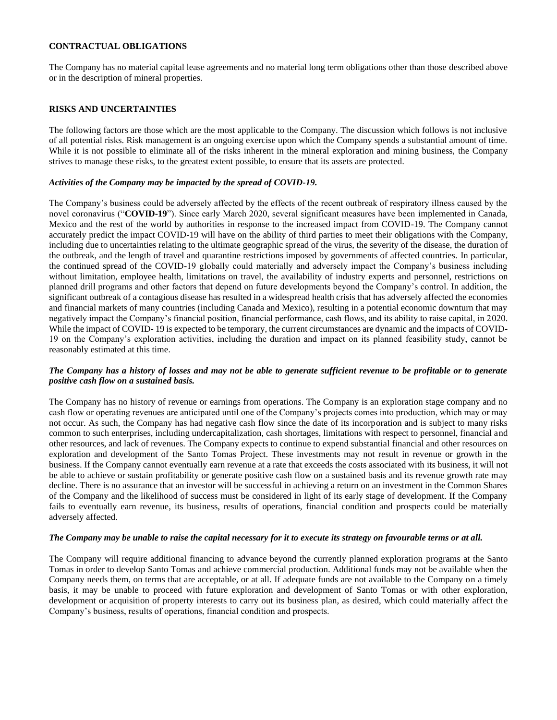### **CONTRACTUAL OBLIGATIONS**

The Company has no material capital lease agreements and no material long term obligations other than those described above or in the description of mineral properties.

#### **RISKS AND UNCERTAINTIES**

The following factors are those which are the most applicable to the Company. The discussion which follows is not inclusive of all potential risks. Risk management is an ongoing exercise upon which the Company spends a substantial amount of time. While it is not possible to eliminate all of the risks inherent in the mineral exploration and mining business, the Company strives to manage these risks, to the greatest extent possible, to ensure that its assets are protected.

#### *Activities of the Company may be impacted by the spread of COVID-19.*

The Company's business could be adversely affected by the effects of the recent outbreak of respiratory illness caused by the novel coronavirus ("**COVID-19**"). Since early March 2020, several significant measures have been implemented in Canada, Mexico and the rest of the world by authorities in response to the increased impact from COVID-19. The Company cannot accurately predict the impact COVID-19 will have on the ability of third parties to meet their obligations with the Company, including due to uncertainties relating to the ultimate geographic spread of the virus, the severity of the disease, the duration of the outbreak, and the length of travel and quarantine restrictions imposed by governments of affected countries. In particular, the continued spread of the COVID-19 globally could materially and adversely impact the Company's business including without limitation, employee health, limitations on travel, the availability of industry experts and personnel, restrictions on planned drill programs and other factors that depend on future developments beyond the Company's control. In addition, the significant outbreak of a contagious disease has resulted in a widespread health crisis that has adversely affected the economies and financial markets of many countries (including Canada and Mexico), resulting in a potential economic downturn that may negatively impact the Company's financial position, financial performance, cash flows, and its ability to raise capital, in 2020. While the impact of COVID- 19 is expected to be temporary, the current circumstances are dynamic and the impacts of COVID-19 on the Company's exploration activities, including the duration and impact on its planned feasibility study, cannot be reasonably estimated at this time.

### *The Company has a history of losses and may not be able to generate sufficient revenue to be profitable or to generate positive cash flow on a sustained basis.*

The Company has no history of revenue or earnings from operations. The Company is an exploration stage company and no cash flow or operating revenues are anticipated until one of the Company's projects comes into production, which may or may not occur. As such, the Company has had negative cash flow since the date of its incorporation and is subject to many risks common to such enterprises, including undercapitalization, cash shortages, limitations with respect to personnel, financial and other resources, and lack of revenues. The Company expects to continue to expend substantial financial and other resources on exploration and development of the Santo Tomas Project. These investments may not result in revenue or growth in the business. If the Company cannot eventually earn revenue at a rate that exceeds the costs associated with its business, it will not be able to achieve or sustain profitability or generate positive cash flow on a sustained basis and its revenue growth rate may decline. There is no assurance that an investor will be successful in achieving a return on an investment in the Common Shares of the Company and the likelihood of success must be considered in light of its early stage of development. If the Company fails to eventually earn revenue, its business, results of operations, financial condition and prospects could be materially adversely affected.

#### *The Company may be unable to raise the capital necessary for it to execute its strategy on favourable terms or at all.*

The Company will require additional financing to advance beyond the currently planned exploration programs at the Santo Tomas in order to develop Santo Tomas and achieve commercial production. Additional funds may not be available when the Company needs them, on terms that are acceptable, or at all. If adequate funds are not available to the Company on a timely basis, it may be unable to proceed with future exploration and development of Santo Tomas or with other exploration, development or acquisition of property interests to carry out its business plan, as desired, which could materially affect the Company's business, results of operations, financial condition and prospects.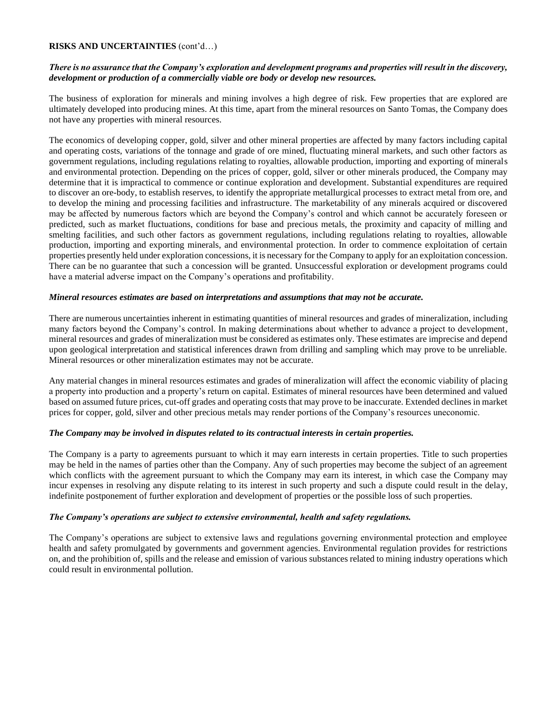### *There is no assurance that the Company's exploration and development programs and properties will result in the discovery, development or production of a commercially viable ore body or develop new resources.*

The business of exploration for minerals and mining involves a high degree of risk. Few properties that are explored are ultimately developed into producing mines. At this time, apart from the mineral resources on Santo Tomas, the Company does not have any properties with mineral resources.

The economics of developing copper, gold, silver and other mineral properties are affected by many factors including capital and operating costs, variations of the tonnage and grade of ore mined, fluctuating mineral markets, and such other factors as government regulations, including regulations relating to royalties, allowable production, importing and exporting of minerals and environmental protection. Depending on the prices of copper, gold, silver or other minerals produced, the Company may determine that it is impractical to commence or continue exploration and development. Substantial expenditures are required to discover an ore-body, to establish reserves, to identify the appropriate metallurgical processes to extract metal from ore, and to develop the mining and processing facilities and infrastructure. The marketability of any minerals acquired or discovered may be affected by numerous factors which are beyond the Company's control and which cannot be accurately foreseen or predicted, such as market fluctuations, conditions for base and precious metals, the proximity and capacity of milling and smelting facilities, and such other factors as government regulations, including regulations relating to royalties, allowable production, importing and exporting minerals, and environmental protection. In order to commence exploitation of certain properties presently held under exploration concessions, it is necessary for the Company to apply for an exploitation concession. There can be no guarantee that such a concession will be granted. Unsuccessful exploration or development programs could have a material adverse impact on the Company's operations and profitability.

#### *Mineral resources estimates are based on interpretations and assumptions that may not be accurate.*

There are numerous uncertainties inherent in estimating quantities of mineral resources and grades of mineralization, including many factors beyond the Company's control. In making determinations about whether to advance a project to development, mineral resources and grades of mineralization must be considered as estimates only. These estimates are imprecise and depend upon geological interpretation and statistical inferences drawn from drilling and sampling which may prove to be unreliable. Mineral resources or other mineralization estimates may not be accurate.

Any material changes in mineral resources estimates and grades of mineralization will affect the economic viability of placing a property into production and a property's return on capital. Estimates of mineral resources have been determined and valued based on assumed future prices, cut-off grades and operating costs that may prove to be inaccurate. Extended declines in market prices for copper, gold, silver and other precious metals may render portions of the Company's resources uneconomic.

#### *The Company may be involved in disputes related to its contractual interests in certain properties.*

The Company is a party to agreements pursuant to which it may earn interests in certain properties. Title to such properties may be held in the names of parties other than the Company. Any of such properties may become the subject of an agreement which conflicts with the agreement pursuant to which the Company may earn its interest, in which case the Company may incur expenses in resolving any dispute relating to its interest in such property and such a dispute could result in the delay, indefinite postponement of further exploration and development of properties or the possible loss of such properties.

#### *The Company's operations are subject to extensive environmental, health and safety regulations.*

The Company's operations are subject to extensive laws and regulations governing environmental protection and employee health and safety promulgated by governments and government agencies. Environmental regulation provides for restrictions on, and the prohibition of, spills and the release and emission of various substances related to mining industry operations which could result in environmental pollution.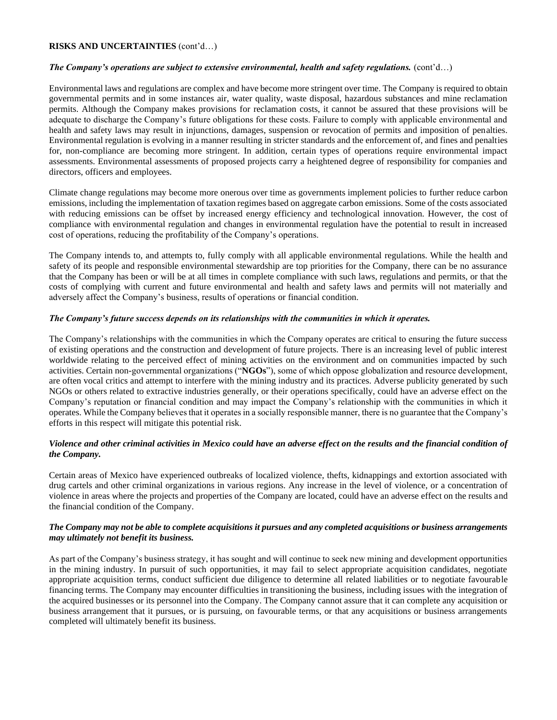## *The Company's operations are subject to extensive environmental, health and safety regulations.* (cont'd…)

Environmental laws and regulations are complex and have become more stringent over time. The Company is required to obtain governmental permits and in some instances air, water quality, waste disposal, hazardous substances and mine reclamation permits. Although the Company makes provisions for reclamation costs, it cannot be assured that these provisions will be adequate to discharge the Company's future obligations for these costs. Failure to comply with applicable environmental and health and safety laws may result in injunctions, damages, suspension or revocation of permits and imposition of penalties. Environmental regulation is evolving in a manner resulting in stricter standards and the enforcement of, and fines and penalties for, non-compliance are becoming more stringent. In addition, certain types of operations require environmental impact assessments. Environmental assessments of proposed projects carry a heightened degree of responsibility for companies and directors, officers and employees.

Climate change regulations may become more onerous over time as governments implement policies to further reduce carbon emissions, including the implementation of taxation regimes based on aggregate carbon emissions. Some of the costs associated with reducing emissions can be offset by increased energy efficiency and technological innovation. However, the cost of compliance with environmental regulation and changes in environmental regulation have the potential to result in increased cost of operations, reducing the profitability of the Company's operations.

The Company intends to, and attempts to, fully comply with all applicable environmental regulations. While the health and safety of its people and responsible environmental stewardship are top priorities for the Company, there can be no assurance that the Company has been or will be at all times in complete compliance with such laws, regulations and permits, or that the costs of complying with current and future environmental and health and safety laws and permits will not materially and adversely affect the Company's business, results of operations or financial condition.

### *The Company's future success depends on its relationships with the communities in which it operates.*

The Company's relationships with the communities in which the Company operates are critical to ensuring the future success of existing operations and the construction and development of future projects. There is an increasing level of public interest worldwide relating to the perceived effect of mining activities on the environment and on communities impacted by such activities. Certain non-governmental organizations ("**NGOs**"), some of which oppose globalization and resource development, are often vocal critics and attempt to interfere with the mining industry and its practices. Adverse publicity generated by such NGOs or others related to extractive industries generally, or their operations specifically, could have an adverse effect on the Company's reputation or financial condition and may impact the Company's relationship with the communities in which it operates. While the Company believes that it operates in a socially responsible manner, there is no guarantee that the Company's efforts in this respect will mitigate this potential risk.

# *Violence and other criminal activities in Mexico could have an adverse effect on the results and the financial condition of the Company.*

Certain areas of Mexico have experienced outbreaks of localized violence, thefts, kidnappings and extortion associated with drug cartels and other criminal organizations in various regions. Any increase in the level of violence, or a concentration of violence in areas where the projects and properties of the Company are located, could have an adverse effect on the results and the financial condition of the Company.

### *The Company may not be able to complete acquisitions it pursues and any completed acquisitions or business arrangements may ultimately not benefit its business.*

As part of the Company's business strategy, it has sought and will continue to seek new mining and development opportunities in the mining industry. In pursuit of such opportunities, it may fail to select appropriate acquisition candidates, negotiate appropriate acquisition terms, conduct sufficient due diligence to determine all related liabilities or to negotiate favourable financing terms. The Company may encounter difficulties in transitioning the business, including issues with the integration of the acquired businesses or its personnel into the Company. The Company cannot assure that it can complete any acquisition or business arrangement that it pursues, or is pursuing, on favourable terms, or that any acquisitions or business arrangements completed will ultimately benefit its business.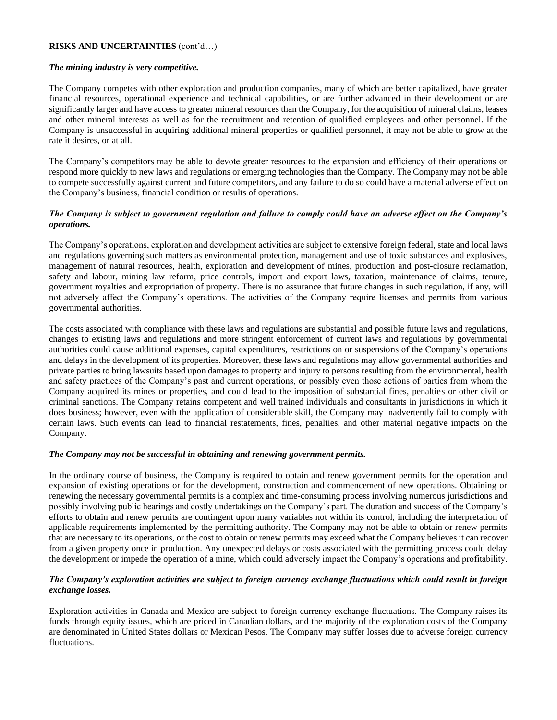### *The mining industry is very competitive.*

The Company competes with other exploration and production companies, many of which are better capitalized, have greater financial resources, operational experience and technical capabilities, or are further advanced in their development or are significantly larger and have access to greater mineral resources than the Company, for the acquisition of mineral claims, leases and other mineral interests as well as for the recruitment and retention of qualified employees and other personnel. If the Company is unsuccessful in acquiring additional mineral properties or qualified personnel, it may not be able to grow at the rate it desires, or at all.

The Company's competitors may be able to devote greater resources to the expansion and efficiency of their operations or respond more quickly to new laws and regulations or emerging technologies than the Company. The Company may not be able to compete successfully against current and future competitors, and any failure to do so could have a material adverse effect on the Company's business, financial condition or results of operations.

## *The Company is subject to government regulation and failure to comply could have an adverse effect on the Company's operations.*

The Company's operations, exploration and development activities are subject to extensive foreign federal, state and local laws and regulations governing such matters as environmental protection, management and use of toxic substances and explosives, management of natural resources, health, exploration and development of mines, production and post-closure reclamation, safety and labour, mining law reform, price controls, import and export laws, taxation, maintenance of claims, tenure, government royalties and expropriation of property. There is no assurance that future changes in such regulation, if any, will not adversely affect the Company's operations. The activities of the Company require licenses and permits from various governmental authorities.

The costs associated with compliance with these laws and regulations are substantial and possible future laws and regulations, changes to existing laws and regulations and more stringent enforcement of current laws and regulations by governmental authorities could cause additional expenses, capital expenditures, restrictions on or suspensions of the Company's operations and delays in the development of its properties. Moreover, these laws and regulations may allow governmental authorities and private parties to bring lawsuits based upon damages to property and injury to persons resulting from the environmental, health and safety practices of the Company's past and current operations, or possibly even those actions of parties from whom the Company acquired its mines or properties, and could lead to the imposition of substantial fines, penalties or other civil or criminal sanctions. The Company retains competent and well trained individuals and consultants in jurisdictions in which it does business; however, even with the application of considerable skill, the Company may inadvertently fail to comply with certain laws. Such events can lead to financial restatements, fines, penalties, and other material negative impacts on the Company.

#### *The Company may not be successful in obtaining and renewing government permits.*

In the ordinary course of business, the Company is required to obtain and renew government permits for the operation and expansion of existing operations or for the development, construction and commencement of new operations. Obtaining or renewing the necessary governmental permits is a complex and time-consuming process involving numerous jurisdictions and possibly involving public hearings and costly undertakings on the Company's part. The duration and success of the Company's efforts to obtain and renew permits are contingent upon many variables not within its control, including the interpretation of applicable requirements implemented by the permitting authority. The Company may not be able to obtain or renew permits that are necessary to its operations, or the cost to obtain or renew permits may exceed what the Company believes it can recover from a given property once in production. Any unexpected delays or costs associated with the permitting process could delay the development or impede the operation of a mine, which could adversely impact the Company's operations and profitability.

# *The Company's exploration activities are subject to foreign currency exchange fluctuations which could result in foreign exchange losses.*

Exploration activities in Canada and Mexico are subject to foreign currency exchange fluctuations. The Company raises its funds through equity issues, which are priced in Canadian dollars, and the majority of the exploration costs of the Company are denominated in United States dollars or Mexican Pesos. The Company may suffer losses due to adverse foreign currency fluctuations.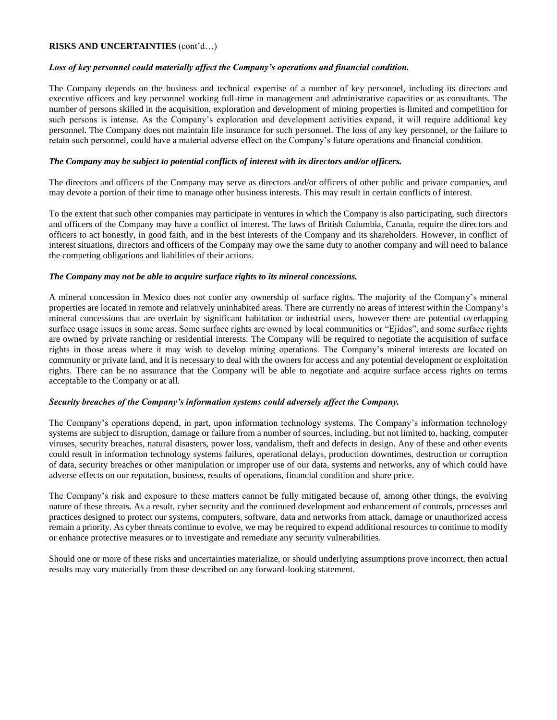## *Loss of key personnel could materially affect the Company's operations and financial condition.*

The Company depends on the business and technical expertise of a number of key personnel, including its directors and executive officers and key personnel working full-time in management and administrative capacities or as consultants. The number of persons skilled in the acquisition, exploration and development of mining properties is limited and competition for such persons is intense. As the Company's exploration and development activities expand, it will require additional key personnel. The Company does not maintain life insurance for such personnel. The loss of any key personnel, or the failure to retain such personnel, could have a material adverse effect on the Company's future operations and financial condition.

### *The Company may be subject to potential conflicts of interest with its directors and/or officers.*

The directors and officers of the Company may serve as directors and/or officers of other public and private companies, and may devote a portion of their time to manage other business interests. This may result in certain conflicts of interest.

To the extent that such other companies may participate in ventures in which the Company is also participating, such directors and officers of the Company may have a conflict of interest. The laws of British Columbia, Canada, require the directors and officers to act honestly, in good faith, and in the best interests of the Company and its shareholders. However, in conflict of interest situations, directors and officers of the Company may owe the same duty to another company and will need to balance the competing obligations and liabilities of their actions.

### *The Company may not be able to acquire surface rights to its mineral concessions.*

A mineral concession in Mexico does not confer any ownership of surface rights. The majority of the Company's mineral properties are located in remote and relatively uninhabited areas. There are currently no areas of interest within the Company's mineral concessions that are overlain by significant habitation or industrial users, however there are potential overlapping surface usage issues in some areas. Some surface rights are owned by local communities or "Ejidos", and some surface rights are owned by private ranching or residential interests. The Company will be required to negotiate the acquisition of surface rights in those areas where it may wish to develop mining operations. The Company's mineral interests are located on community or private land, and it is necessary to deal with the owners for access and any potential development or exploitation rights. There can be no assurance that the Company will be able to negotiate and acquire surface access rights on terms acceptable to the Company or at all.

# *Security breaches of the Company's information systems could adversely affect the Company.*

The Company's operations depend, in part, upon information technology systems. The Company's information technology systems are subject to disruption, damage or failure from a number of sources, including, but not limited to, hacking, computer viruses, security breaches, natural disasters, power loss, vandalism, theft and defects in design. Any of these and other events could result in information technology systems failures, operational delays, production downtimes, destruction or corruption of data, security breaches or other manipulation or improper use of our data, systems and networks, any of which could have adverse effects on our reputation, business, results of operations, financial condition and share price.

The Company's risk and exposure to these matters cannot be fully mitigated because of, among other things, the evolving nature of these threats. As a result, cyber security and the continued development and enhancement of controls, processes and practices designed to protect our systems, computers, software, data and networks from attack, damage or unauthorized access remain a priority. As cyber threats continue to evolve, we may be required to expend additional resources to continue to modify or enhance protective measures or to investigate and remediate any security vulnerabilities.

Should one or more of these risks and uncertainties materialize, or should underlying assumptions prove incorrect, then actual results may vary materially from those described on any forward-looking statement.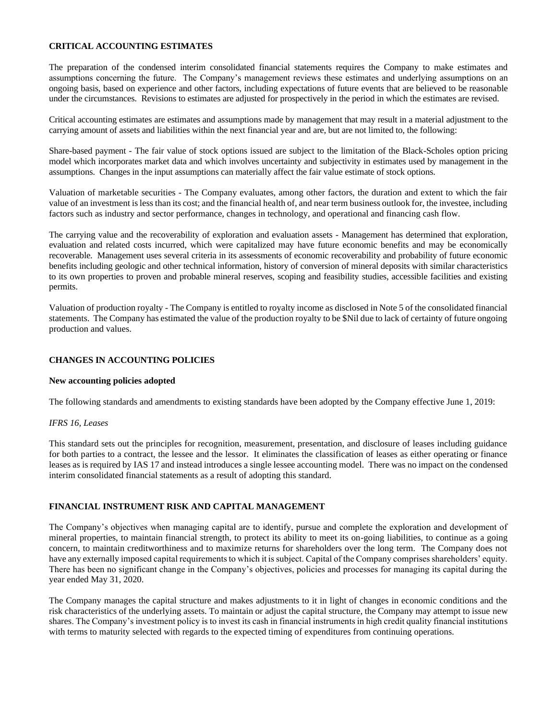### **CRITICAL ACCOUNTING ESTIMATES**

The preparation of the condensed interim consolidated financial statements requires the Company to make estimates and assumptions concerning the future. The Company's management reviews these estimates and underlying assumptions on an ongoing basis, based on experience and other factors, including expectations of future events that are believed to be reasonable under the circumstances. Revisions to estimates are adjusted for prospectively in the period in which the estimates are revised.

Critical accounting estimates are estimates and assumptions made by management that may result in a material adjustment to the carrying amount of assets and liabilities within the next financial year and are, but are not limited to, the following:

Share-based payment - The fair value of stock options issued are subject to the limitation of the Black-Scholes option pricing model which incorporates market data and which involves uncertainty and subjectivity in estimates used by management in the assumptions. Changes in the input assumptions can materially affect the fair value estimate of stock options.

Valuation of marketable securities - The Company evaluates, among other factors, the duration and extent to which the fair value of an investment is less than its cost; and the financial health of, and near term business outlook for, the investee, including factors such as industry and sector performance, changes in technology, and operational and financing cash flow.

The carrying value and the recoverability of exploration and evaluation assets - Management has determined that exploration, evaluation and related costs incurred, which were capitalized may have future economic benefits and may be economically recoverable. Management uses several criteria in its assessments of economic recoverability and probability of future economic benefits including geologic and other technical information, history of conversion of mineral deposits with similar characteristics to its own properties to proven and probable mineral reserves, scoping and feasibility studies, accessible facilities and existing permits.

Valuation of production royalty - The Company is entitled to royalty income as disclosed in Note 5 of the consolidated financial statements. The Company has estimated the value of the production royalty to be \$Nil due to lack of certainty of future ongoing production and values.

# **CHANGES IN ACCOUNTING POLICIES**

# **New accounting policies adopted**

The following standards and amendments to existing standards have been adopted by the Company effective June 1, 2019:

# *IFRS 16, Leases*

This standard sets out the principles for recognition, measurement, presentation, and disclosure of leases including guidance for both parties to a contract, the lessee and the lessor. It eliminates the classification of leases as either operating or finance leases as is required by IAS 17 and instead introduces a single lessee accounting model. There was no impact on the condensed interim consolidated financial statements as a result of adopting this standard.

# **FINANCIAL INSTRUMENT RISK AND CAPITAL MANAGEMENT**

The Company's objectives when managing capital are to identify, pursue and complete the exploration and development of mineral properties, to maintain financial strength, to protect its ability to meet its on-going liabilities, to continue as a going concern, to maintain creditworthiness and to maximize returns for shareholders over the long term. The Company does not have any externally imposed capital requirements to which it is subject. Capital of the Company comprises shareholders' equity. There has been no significant change in the Company's objectives, policies and processes for managing its capital during the year ended May 31, 2020.

The Company manages the capital structure and makes adjustments to it in light of changes in economic conditions and the risk characteristics of the underlying assets. To maintain or adjust the capital structure, the Company may attempt to issue new shares. The Company's investment policy is to invest its cash in financial instruments in high credit quality financial institutions with terms to maturity selected with regards to the expected timing of expenditures from continuing operations.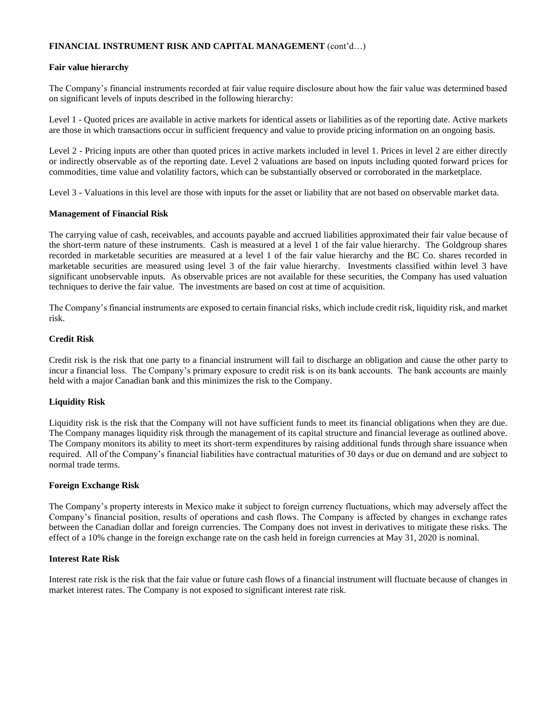### **FINANCIAL INSTRUMENT RISK AND CAPITAL MANAGEMENT** (cont'd…)

### **Fair value hierarchy**

The Company's financial instruments recorded at fair value require disclosure about how the fair value was determined based on significant levels of inputs described in the following hierarchy:

Level 1 - Quoted prices are available in active markets for identical assets or liabilities as of the reporting date. Active markets are those in which transactions occur in sufficient frequency and value to provide pricing information on an ongoing basis.

Level 2 - Pricing inputs are other than quoted prices in active markets included in level 1. Prices in level 2 are either directly or indirectly observable as of the reporting date. Level 2 valuations are based on inputs including quoted forward prices for commodities, time value and volatility factors, which can be substantially observed or corroborated in the marketplace.

Level 3 - Valuations in this level are those with inputs for the asset or liability that are not based on observable market data.

### **Management of Financial Risk**

The carrying value of cash, receivables, and accounts payable and accrued liabilities approximated their fair value because of the short-term nature of these instruments. Cash is measured at a level 1 of the fair value hierarchy. The Goldgroup shares recorded in marketable securities are measured at a level 1 of the fair value hierarchy and the BC Co. shares recorded in marketable securities are measured using level 3 of the fair value hierarchy. Investments classified within level 3 have significant unobservable inputs. As observable prices are not available for these securities, the Company has used valuation techniques to derive the fair value. The investments are based on cost at time of acquisition.

The Company's financial instruments are exposed to certain financial risks, which include credit risk, liquidity risk, and market risk.

### **Credit Risk**

Credit risk is the risk that one party to a financial instrument will fail to discharge an obligation and cause the other party to incur a financial loss. The Company's primary exposure to credit risk is on its bank accounts. The bank accounts are mainly held with a major Canadian bank and this minimizes the risk to the Company.

#### **Liquidity Risk**

Liquidity risk is the risk that the Company will not have sufficient funds to meet its financial obligations when they are due. The Company manages liquidity risk through the management of its capital structure and financial leverage as outlined above. The Company monitors its ability to meet its short-term expenditures by raising additional funds through share issuance when required. All of the Company's financial liabilities have contractual maturities of 30 days or due on demand and are subject to normal trade terms.

#### **Foreign Exchange Risk**

The Company's property interests in Mexico make it subject to foreign currency fluctuations, which may adversely affect the Company's financial position, results of operations and cash flows. The Company is affected by changes in exchange rates between the Canadian dollar and foreign currencies. The Company does not invest in derivatives to mitigate these risks. The effect of a 10% change in the foreign exchange rate on the cash held in foreign currencies at May 31, 2020 is nominal.

#### **Interest Rate Risk**

Interest rate risk is the risk that the fair value or future cash flows of a financial instrument will fluctuate because of changes in market interest rates. The Company is not exposed to significant interest rate risk.